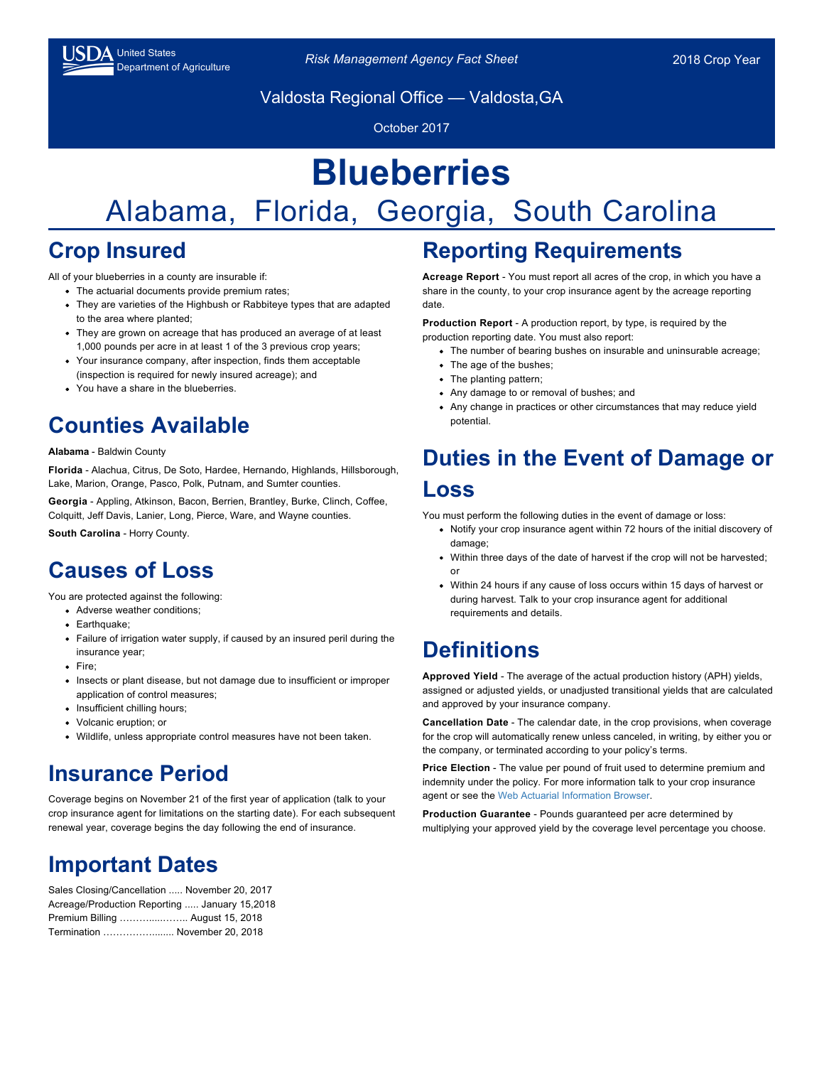Valdosta Regional Office — Valdosta,GA

October 2017

# **Blueberries**

## Alabama, Florida, Georgia, South Carolina

#### **Crop Insured**

All of your blueberries in a county are insurable if:

- The actuarial documents provide premium rates;
- They are varieties of the Highbush or Rabbiteye types that are adapted to the area where planted;
- They are grown on acreage that has produced an average of at least 1,000 pounds per acre in at least 1 of the 3 previous crop years;
- Your insurance company, after inspection, finds them acceptable (inspection is required for newly insured acreage); and
- You have a share in the blueberries.

#### **Counties Available**

#### **Alabama** - Baldwin County

**Florida** - Alachua, Citrus, De Soto, Hardee, Hernando, Highlands, Hillsborough, Lake, Marion, Orange, Pasco, Polk, Putnam, and Sumter counties.

**Georgia** - Appling, Atkinson, Bacon, Berrien, Brantley, Burke, Clinch, Coffee, Colquitt, Jeff Davis, Lanier, Long, Pierce, Ware, and Wayne counties.

**South Carolina** - Horry County.

#### **Causes of Loss**

You are protected against the following:

- Adverse weather conditions;
- Earthquake;
- Failure of irrigation water supply, if caused by an insured peril during the insurance year;
- Fire;
- Insects or plant disease, but not damage due to insufficient or improper application of control measures;
- Insufficient chilling hours;
- Volcanic eruption; or
- Wildlife, unless appropriate control measures have not been taken.

#### **Insurance Period**

Coverage begins on November 21 of the first year of application (talk to your crop insurance agent for limitations on the starting date). For each subsequent renewal year, coverage begins the day following the end of insurance.

#### **Important Dates**

| Sales Closing/Cancellation  November 20, 2017 |  |
|-----------------------------------------------|--|
| Acreage/Production Reporting  January 15,2018 |  |
| Premium Billing  August 15, 2018              |  |
| Termination  November 20, 2018                |  |

#### **Reporting Requirements**

**Acreage Report** - You must report all acres of the crop, in which you have a share in the county, to your crop insurance agent by the acreage reporting date.

**Production Report** - A production report, by type, is required by the production reporting date. You must also report:

- The number of bearing bushes on insurable and uninsurable acreage;
- The age of the bushes;
- The planting pattern;
- Any damage to or removal of bushes; and
- Any change in practices or other circumstances that may reduce yield potential.

#### **Duties in the Event of Damage or Loss**

You must perform the following duties in the event of damage or loss:

- Notify your crop insurance agent within 72 hours of the initial discovery of damage;
- Within three days of the date of harvest if the crop will not be harvested; or
- Within 24 hours if any cause of loss occurs within 15 days of harvest or during harvest. Talk to your crop insurance agent for additional requirements and details.

#### **Definitions**

**Approved Yield** - The average of the actual production history (APH) yields, assigned or adjusted yields, or unadjusted transitional yields that are calculated and approved by your insurance company.

**Cancellation Date** - The calendar date, in the crop provisions, when coverage for the crop will automatically renew unless canceled, in writing, by either you or the company, or terminated according to your policy's terms.

**Price Election** - The value per pound of fruit used to determine premium and indemnity under the policy. For more information talk to your crop insurance agent or see the [Web Actuarial Information Browser.](https://webapp.rma.usda.gov/apps/ActuarialInformationBrowser/)

**Production Guarantee** - Pounds guaranteed per acre determined by multiplying your approved yield by the coverage level percentage you choose.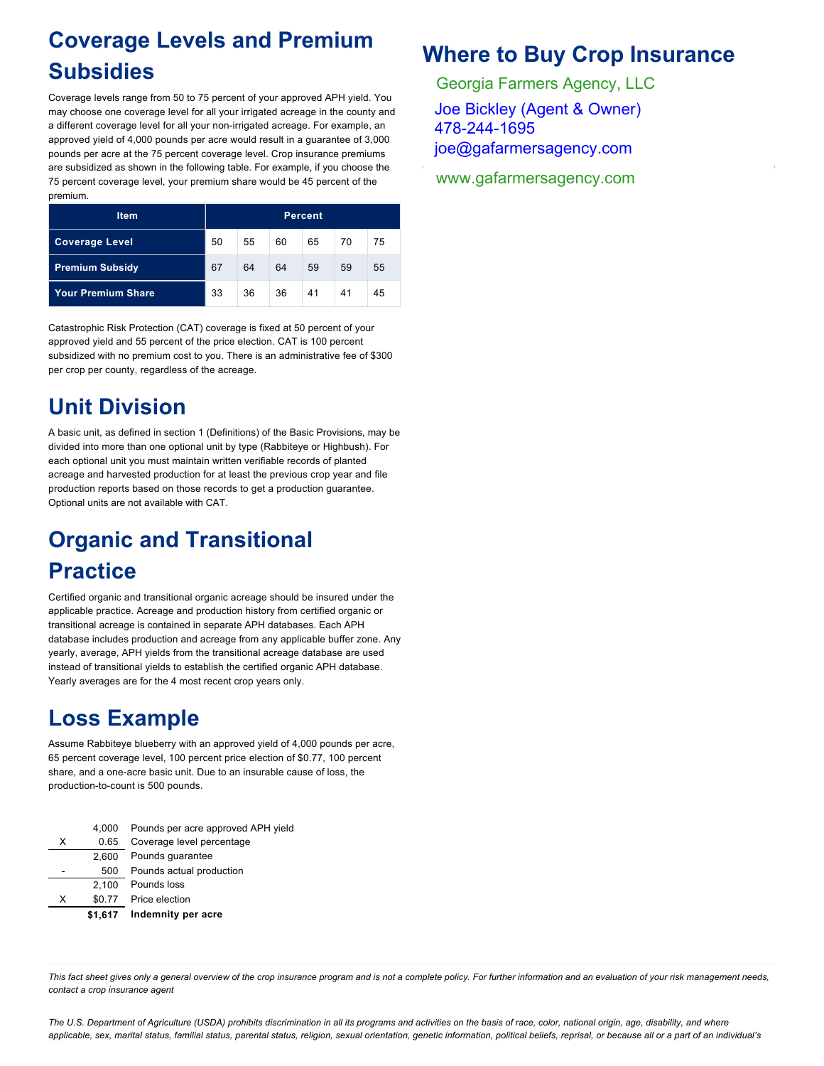#### **Coverage Levels and Premium Subsidies**

Coverage levels range from 50 to 75 percent of your approved APH yield. You may choose one coverage level for all your irrigated acreage in the county and a different coverage level for all your non-irrigated acreage. For example, an approved yield of 4,000 pounds per acre would result in a guarantee of 3,000 pounds per acre at the 75 percent coverage level. Crop insurance premiums are subsidized as shown in the following table. For example, if you choose the 75 percent coverage level, your premium share would be 45 percent of the premium.

| <b>Item</b>               | Percent |    |    |    |    |    |
|---------------------------|---------|----|----|----|----|----|
| <b>Coverage Level</b>     | 50      | 55 | 60 | 65 | 70 | 75 |
| <b>Premium Subsidy</b>    | 67      | 64 | 64 | 59 | 59 | 55 |
| <b>Your Premium Share</b> | 33      | 36 | 36 | 41 | 41 | 45 |

Catastrophic Risk Protection (CAT) coverage is fixed at 50 percent of your approved yield and 55 percent of the price election. CAT is 100 percent subsidized with no premium cost to you. There is an administrative fee of \$300 per crop per county, regardless of the acreage.

#### **Unit Division**

A basic unit, as defined in section 1 (Definitions) of the Basic Provisions, may be divided into more than one optional unit by type (Rabbiteye or Highbush). For each optional unit you must maintain written verifiable records of planted acreage and harvested production for at least the previous crop year and file production reports based on those records to get a production guarantee. Optional units are not available with CAT.

### **Organic and Transitional Practice**

Certified organic and transitional organic acreage should be insured under the applicable practice. Acreage and production history from certified organic or transitional acreage is contained in separate APH databases. Each APH database includes production and acreage from any applicable buffer zone. Any yearly, average, APH yields from the transitional acreage database are used instead of transitional yields to establish the certified organic APH database. Yearly averages are for the 4 most recent crop years only.

#### **Loss Example**

Assume Rabbiteye blueberry with an approved yield of 4,000 pounds per acre, 65 percent coverage level, 100 percent price election of \$0.77, 100 percent share, and a one-acre basic unit. Due to an insurable cause of loss, the production-to-count is 500 pounds.

|   | 4.000   | Pounds per acre approved APH yield |
|---|---------|------------------------------------|
| x | 0.65    | Coverage level percentage          |
|   | 2.600   | Pounds quarantee                   |
|   | 500     | Pounds actual production           |
|   | 2.100   | Pounds loss                        |
| x | \$0.77  | Price election                     |
|   | \$1,617 | Indemnity per acre                 |

#### **Where to Buy Crop Insurance**

Georgia Farmers Agency, LLC crop insurance agents. A list of crop insurance agents is available agents in  $\mathcal{L}$ Joe Bickley (Agent & Owner) joe@gafarmersagency.com 478-244-1695

www.qafarmeres www.gafarmersagency.com

*This fact sheet gives only a general overview of the crop insurance program and is not a complete policy. For further information and an evaluation of your risk management needs, contact a crop insurance agent*

*The U.S. Department of Agriculture (USDA) prohibits discrimination in all its programs and activities on the basis of race, color, national origin, age, disability, and where applicable, sex, marital status, familial status, parental status, religion, sexual orientation, genetic information, political beliefs, reprisal, or because all or a part of an individual's*